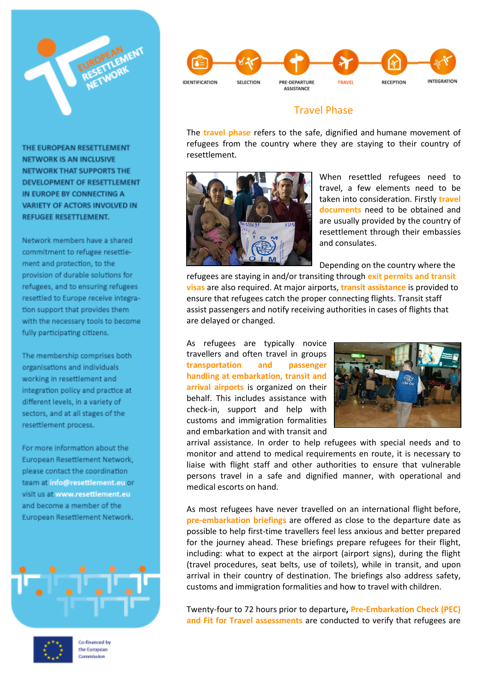

THE EUROPEAN RESETTLEMENT **NETWORK IS AN INCLUSIVE** NETWORK THAT SUPPORTS THE DEVELOPMENT OF RESETTLEMENT IN EUROPE BY CONNECTING A VARIETY OF ACTORS INVOLVED IN REFUGEE RESETTLEMENT.

Network members have a shared commitment to refugee resettlement and protection, to the provision of durable solutions for refugees, and to ensuring refugees resettled to Europe receive integration support that provides them with the necessary tools to become fully participating citizens.

The membership comprises both organisations and individuals working in resettlement and integration policy and practice at different levels, in a variety of sectors, and at all stages of the resettlement process.

For more information about the European Resettlement Network, please contact the coordination team at info@resettlement.eu or visit us at www.resettlement.eu and become a member of the European Resettlement Network.





Co-financed by the European Commission



## Travel Phase

The **travel phase** refers to the safe, dignified and humane movement of refugees from the country where they are staying to their country of resettlement.



When resettled refugees need to travel, a few elements need to be taken into consideration. Firstly **travel documents** need to be obtained and are usually provided by the country of resettlement through their embassies and consulates.

Depending on the country where the

refugees are staying in and/or transiting through **exit permits and transit visas** are also required. At major airports, **transit assistance** is provided to ensure that refugees catch the proper connecting flights. Transit staff assist passengers and notify receiving authorities in cases of flights that are delayed or changed.

As refugees are typically novice travellers and often travel in groups **transportation and passenger handling at embarkation, transit and arrival airports** is organized on their behalf. This includes assistance with check-in, support and help with customs and immigration formalities and embarkation and with transit and



arrival assistance. In order to help refugees with special needs and to monitor and attend to medical requirements en route, it is necessary to liaise with flight staff and other authorities to ensure that vulnerable persons travel in a safe and dignified manner, with operational and medical escorts on hand.

As most refugees have never travelled on an international flight before, **pre-embarkation briefings** are offered as close to the departure date as possible to help first-time travellers feel less anxious and better prepared for the journey ahead. These briefings prepare refugees for their flight, including: what to expect at the airport (airport signs), during the flight (travel procedures, seat belts, use of toilets), while in transit, and upon arrival in their country of destination. The briefings also address safety, customs and immigration formalities and how to travel with children.

Twenty-four to 72 hours prior to departure**, Pre-Embarkation Check (PEC) and Fit for Travel assessments** are conducted to verify that refugees are